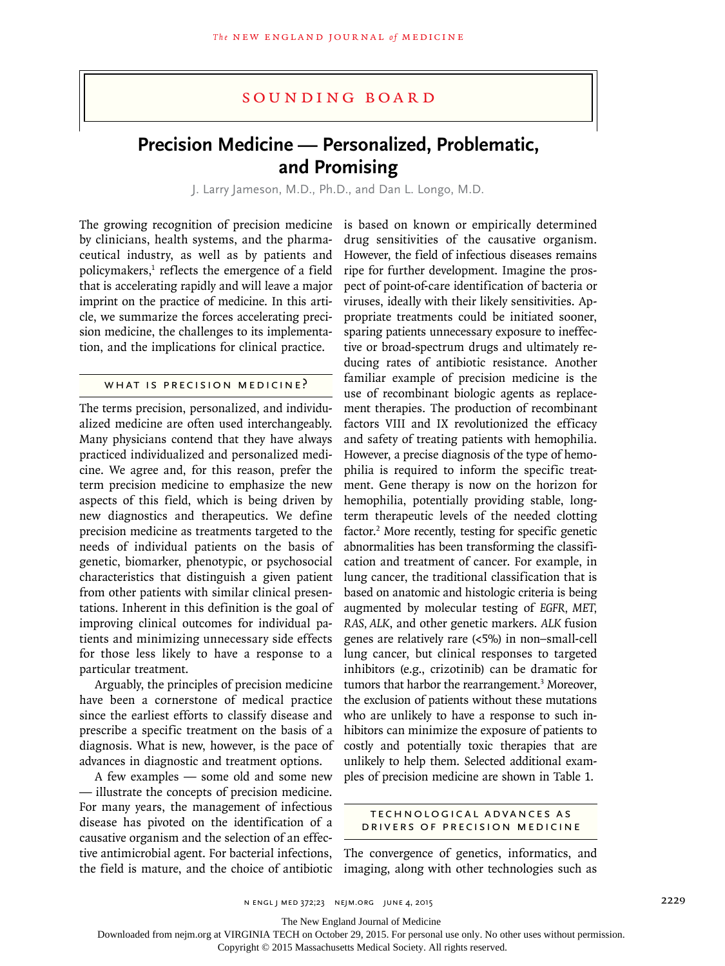# Sounding Board

# **Precision Medicine — Personalized, Problematic, and Promising**

J. Larry Jameson, M.D., Ph.D., and Dan L. Longo, M.D.

The growing recognition of precision medicine by clinicians, health systems, and the pharmaceutical industry, as well as by patients and policymakers,<sup>1</sup> reflects the emergence of a field that is accelerating rapidly and will leave a major imprint on the practice of medicine. In this article, we summarize the forces accelerating precision medicine, the challenges to its implementation, and the implications for clinical practice.

# WHAT IS PRECISION MEDICINE<sup>2</sup>

The terms precision, personalized, and individualized medicine are often used interchangeably. Many physicians contend that they have always practiced individualized and personalized medicine. We agree and, for this reason, prefer the term precision medicine to emphasize the new aspects of this field, which is being driven by new diagnostics and therapeutics. We define precision medicine as treatments targeted to the needs of individual patients on the basis of genetic, biomarker, phenotypic, or psychosocial characteristics that distinguish a given patient from other patients with similar clinical presentations. Inherent in this definition is the goal of improving clinical outcomes for individual patients and minimizing unnecessary side effects for those less likely to have a response to a particular treatment.

Arguably, the principles of precision medicine have been a cornerstone of medical practice since the earliest efforts to classify disease and prescribe a specific treatment on the basis of a diagnosis. What is new, however, is the pace of advances in diagnostic and treatment options.

A few examples — some old and some new — illustrate the concepts of precision medicine. For many years, the management of infectious disease has pivoted on the identification of a causative organism and the selection of an effective antimicrobial agent. For bacterial infections, the field is mature, and the choice of antibiotic is based on known or empirically determined drug sensitivities of the causative organism. However, the field of infectious diseases remains ripe for further development. Imagine the prospect of point-of-care identification of bacteria or viruses, ideally with their likely sensitivities. Appropriate treatments could be initiated sooner, sparing patients unnecessary exposure to ineffective or broad-spectrum drugs and ultimately reducing rates of antibiotic resistance. Another familiar example of precision medicine is the use of recombinant biologic agents as replacement therapies. The production of recombinant factors VIII and IX revolutionized the efficacy and safety of treating patients with hemophilia. However, a precise diagnosis of the type of hemophilia is required to inform the specific treatment. Gene therapy is now on the horizon for hemophilia, potentially providing stable, longterm therapeutic levels of the needed clotting factor.<sup>2</sup> More recently, testing for specific genetic abnormalities has been transforming the classification and treatment of cancer. For example, in lung cancer, the traditional classification that is based on anatomic and histologic criteria is being augmented by molecular testing of *EGFR, MET, RAS, ALK*, and other genetic markers. *ALK* fusion genes are relatively rare (<5%) in non–small-cell lung cancer, but clinical responses to targeted inhibitors (e.g., crizotinib) can be dramatic for tumors that harbor the rearrangement.<sup>3</sup> Moreover, the exclusion of patients without these mutations who are unlikely to have a response to such inhibitors can minimize the exposure of patients to costly and potentially toxic therapies that are unlikely to help them. Selected additional examples of precision medicine are shown in Table 1.

## Technologic al Advances as Drivers of Precision Medicine

The convergence of genetics, informatics, and imaging, along with other technologies such as

The New England Journal of Medicine

Downloaded from nejm.org at VIRGINIA TECH on October 29, 2015. For personal use only. No other uses without permission.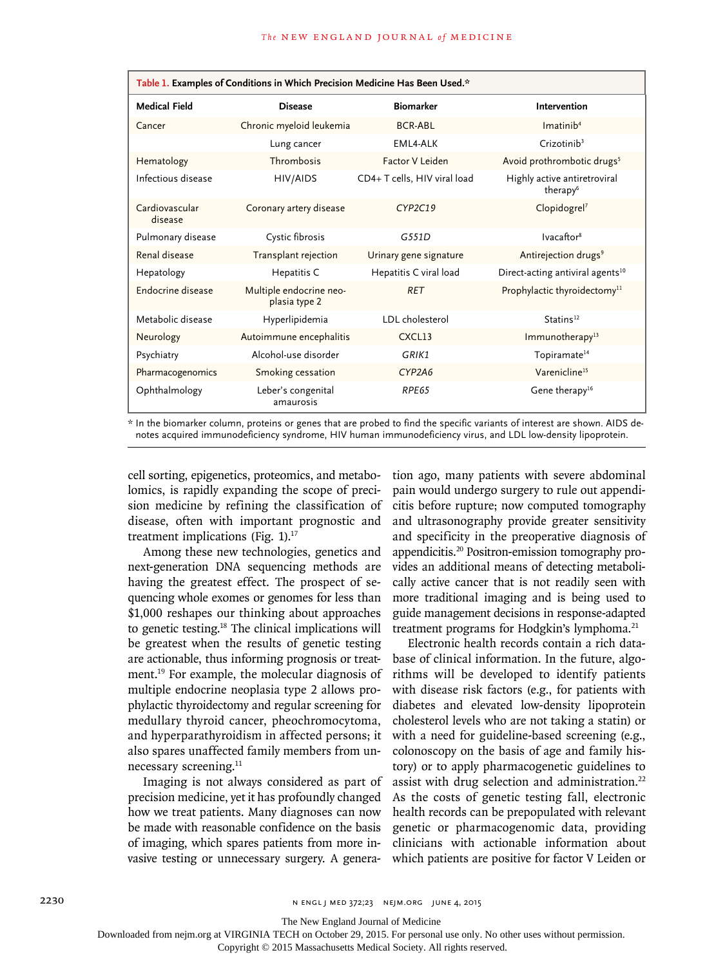| Table 1. Examples of Conditions in Which Precision Medicine Has Been Used.* |                                          |                              |                                                      |
|-----------------------------------------------------------------------------|------------------------------------------|------------------------------|------------------------------------------------------|
| <b>Medical Field</b>                                                        | <b>Disease</b>                           | <b>Biomarker</b>             | <b>Intervention</b>                                  |
| Cancer                                                                      | Chronic myeloid leukemia                 | <b>BCR-ABL</b>               | Imatinib <sup>4</sup>                                |
|                                                                             | Lung cancer                              | EML4-ALK                     | Crizotinib <sup>3</sup>                              |
| Hematology                                                                  | Thrombosis                               | Factor V Leiden              | Avoid prothrombotic drugs <sup>5</sup>               |
| Infectious disease                                                          | HIV/AIDS                                 | CD4+ T cells, HIV viral load | Highly active antiretroviral<br>therapy <sup>6</sup> |
| Cardiovascular<br>disease                                                   | Coronary artery disease                  | CYP2C19                      | Clopidogrel <sup>7</sup>                             |
| Pulmonary disease                                                           | Cystic fibrosis                          | G551D                        | Ivacaftor <sup>8</sup>                               |
| Renal disease                                                               | Transplant rejection                     | Urinary gene signature       | Antirejection drugs <sup>9</sup>                     |
| Hepatology                                                                  | Hepatitis C                              | Hepatitis C viral load       | Direct-acting antiviral agents <sup>10</sup>         |
| Endocrine disease                                                           | Multiple endocrine neo-<br>plasia type 2 | <b>RET</b>                   | Prophylactic thyroidectomy <sup>11</sup>             |
| Metabolic disease                                                           | Hyperlipidemia                           | LDL cholesterol              | Statins <sup>12</sup>                                |
| Neurology                                                                   | Autoimmune encephalitis                  | CXCL13                       | Immunotherapy <sup>13</sup>                          |
| Psychiatry                                                                  | Alcohol-use disorder                     | GRIK1                        | Topiramate <sup>14</sup>                             |
| Pharmacogenomics                                                            | Smoking cessation                        | CYP2A6                       | Varenicline <sup>15</sup>                            |
| Ophthalmology                                                               | Leber's congenital<br>amaurosis          | RPE65                        | Gene therapy <sup>16</sup>                           |

\* In the biomarker column, proteins or genes that are probed to find the specific variants of interest are shown. AIDS denotes acquired immunodeficiency syndrome, HIV human immunodeficiency virus, and LDL low-density lipoprotein.

cell sorting, epigenetics, proteomics, and metabolomics, is rapidly expanding the scope of precision medicine by refining the classification of disease, often with important prognostic and treatment implications (Fig.  $1$ ).<sup>17</sup>

Among these new technologies, genetics and next-generation DNA sequencing methods are having the greatest effect. The prospect of sequencing whole exomes or genomes for less than \$1,000 reshapes our thinking about approaches to genetic testing.18 The clinical implications will be greatest when the results of genetic testing are actionable, thus informing prognosis or treatment.19 For example, the molecular diagnosis of multiple endocrine neoplasia type 2 allows prophylactic thyroidectomy and regular screening for medullary thyroid cancer, pheochromocytoma, and hyperparathyroidism in affected persons; it also spares unaffected family members from unnecessary screening.<sup>11</sup>

Imaging is not always considered as part of precision medicine, yet it has profoundly changed how we treat patients. Many diagnoses can now be made with reasonable confidence on the basis of imaging, which spares patients from more invasive testing or unnecessary surgery. A generation ago, many patients with severe abdominal pain would undergo surgery to rule out appendicitis before rupture; now computed tomography and ultrasonography provide greater sensitivity and specificity in the preoperative diagnosis of appendicitis.20 Positron-emission tomography provides an additional means of detecting metabolically active cancer that is not readily seen with more traditional imaging and is being used to guide management decisions in response-adapted treatment programs for Hodgkin's lymphoma.<sup>21</sup>

Electronic health records contain a rich database of clinical information. In the future, algorithms will be developed to identify patients with disease risk factors (e.g., for patients with diabetes and elevated low-density lipoprotein cholesterol levels who are not taking a statin) or with a need for guideline-based screening (e.g., colonoscopy on the basis of age and family history) or to apply pharmacogenetic guidelines to assist with drug selection and administration.<sup>22</sup> As the costs of genetic testing fall, electronic health records can be prepopulated with relevant genetic or pharmacogenomic data, providing clinicians with actionable information about which patients are positive for factor V Leiden or

The New England Journal of Medicine

Downloaded from nejm.org at VIRGINIA TECH on October 29, 2015. For personal use only. No other uses without permission.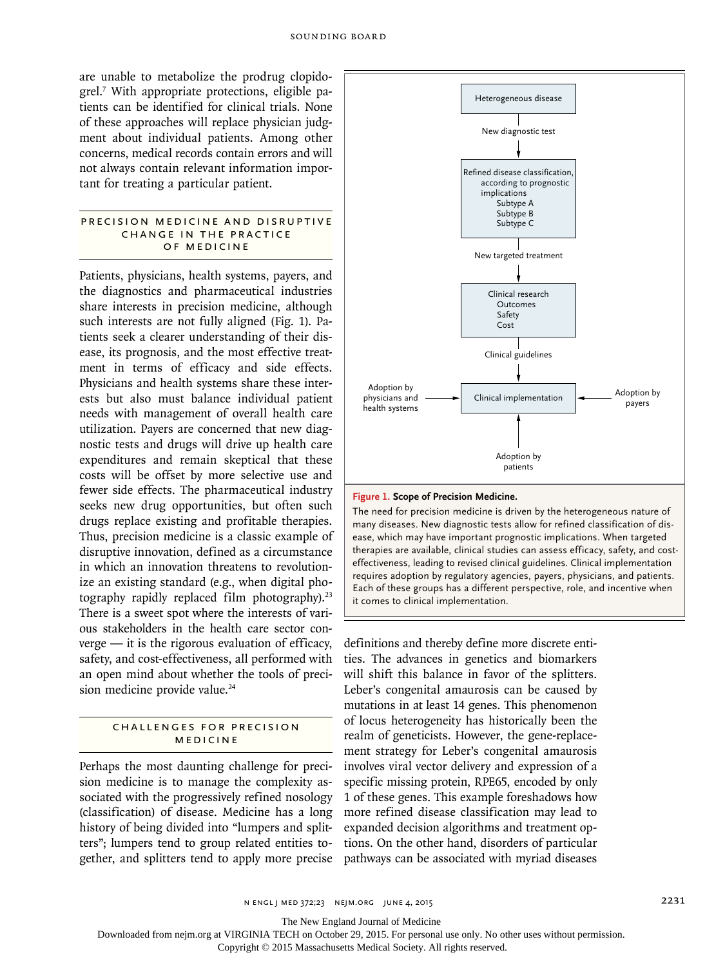are unable to metabolize the prodrug clopidogrel.7 With appropriate protections, eligible patients can be identified for clinical trials. None of these approaches will replace physician judgment about individual patients. Among other concerns, medical records contain errors and will not always contain relevant information important for treating a particular patient.

#### PRECISION MEDICINE AND DISRUPTIVE CHANGE IN THE PRACTICE of Medicine

Patients, physicians, health systems, payers, and the diagnostics and pharmaceutical industries share interests in precision medicine, although such interests are not fully aligned (Fig. 1). Patients seek a clearer understanding of their disease, its prognosis, and the most effective treatment in terms of efficacy and side effects. Physicians and health systems share these interests but also must balance individual patient needs with management of overall health care utilization. Payers are concerned that new diagnostic tests and drugs will drive up health care expenditures and remain skeptical that these costs will be offset by more selective use and fewer side effects. The pharmaceutical industry seeks new drug opportunities, but often such drugs replace existing and profitable therapies. Thus, precision medicine is a classic example of disruptive innovation, defined as a circumstance in which an innovation threatens to revolutionize an existing standard (e.g., when digital photography rapidly replaced film photography).<sup>23</sup> There is a sweet spot where the interests of various stakeholders in the health care sector con $verge$  — it is the rigorous evaluation of efficacy, safety, and cost-effectiveness, all performed with an open mind about whether the tools of precision medicine provide value.<sup>24</sup>

## Challenges for Precision Medicine

Perhaps the most daunting challenge for precision medicine is to manage the complexity associated with the progressively refined nosology (classification) of disease. Medicine has a long history of being divided into "lumpers and splitters"; lumpers tend to group related entities together, and splitters tend to apply more precise



**Figure 1. Scope of Precision Medicine.**

The need for precision medicine is driven by the heterogeneous nature of many diseases. New diagnostic tests allow for refined classification of disease, which may have important prognostic implications. When targeted therapies are available, clinical studies can assess efficacy, safety, and costeffectiveness, leading to revised clinical guidelines. Clinical implementation requires adoption by regulatory agencies, payers, physicians, and patients. Each of these groups has a different perspective, role, and incentive when it comes to clinical implementation.

definitions and thereby define more discrete entities. The advances in genetics and biomarkers will shift this balance in favor of the splitters. Leber's congenital amaurosis can be caused by mutations in at least 14 genes. This phenomenon of locus heterogeneity has historically been the realm of geneticists. However, the gene-replacement strategy for Leber's congenital amaurosis involves viral vector delivery and expression of a specific missing protein, RPE65, encoded by only 1 of these genes. This example foreshadows how more refined disease classification may lead to expanded decision algorithms and treatment options. On the other hand, disorders of particular pathways can be associated with myriad diseases

The New England Journal of Medicine

Downloaded from nejm.org at VIRGINIA TECH on October 29, 2015. For personal use only. No other uses without permission.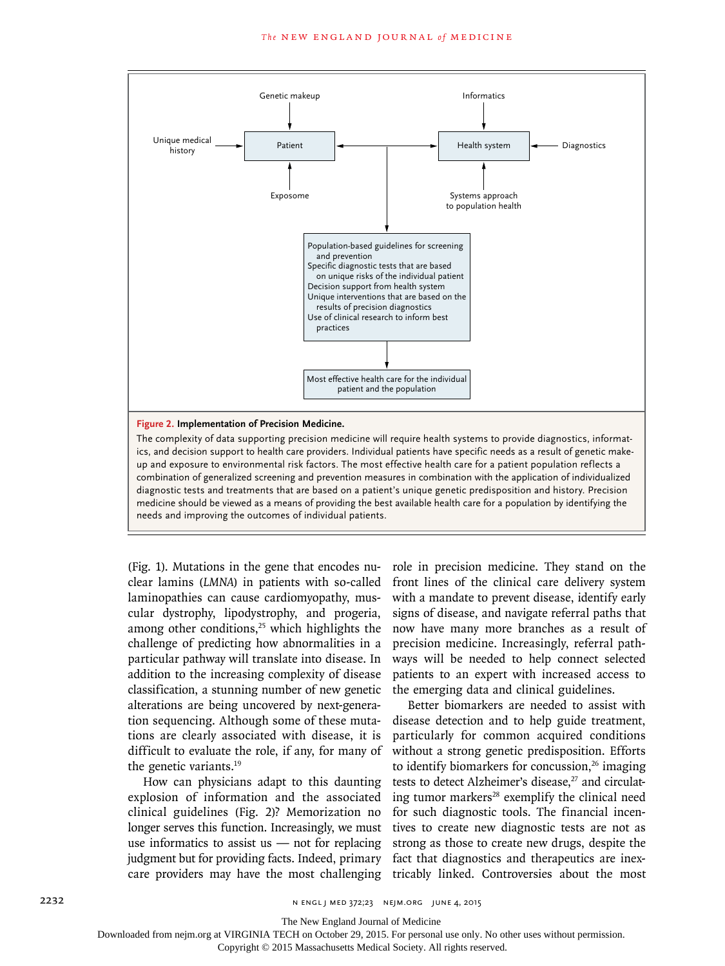

(Fig. 1). Mutations in the gene that encodes nuclear lamins (*LMNA*) in patients with so-called laminopathies can cause cardiomyopathy, muscular dystrophy, lipodystrophy, and progeria, among other conditions, $25$  which highlights the challenge of predicting how abnormalities in a particular pathway will translate into disease. In addition to the increasing complexity of disease classification, a stunning number of new genetic alterations are being uncovered by next-generation sequencing. Although some of these mutations are clearly associated with disease, it is difficult to evaluate the role, if any, for many of the genetic variants.19

How can physicians adapt to this daunting explosion of information and the associated clinical guidelines (Fig. 2)? Memorization no longer serves this function. Increasingly, we must use informatics to assist us  $-$  not for replacing judgment but for providing facts. Indeed, primary care providers may have the most challenging

role in precision medicine. They stand on the front lines of the clinical care delivery system with a mandate to prevent disease, identify early signs of disease, and navigate referral paths that now have many more branches as a result of precision medicine. Increasingly, referral pathways will be needed to help connect selected patients to an expert with increased access to the emerging data and clinical guidelines.

Better biomarkers are needed to assist with disease detection and to help guide treatment, particularly for common acquired conditions without a strong genetic predisposition. Efforts to identify biomarkers for concussion, $26$  imaging tests to detect Alzheimer's disease,<sup>27</sup> and circulating tumor markers<sup>28</sup> exemplify the clinical need for such diagnostic tools. The financial incentives to create new diagnostic tests are not as strong as those to create new drugs, despite the fact that diagnostics and therapeutics are inextricably linked. Controversies about the most

The New England Journal of Medicine

Downloaded from nejm.org at VIRGINIA TECH on October 29, 2015. For personal use only. No other uses without permission.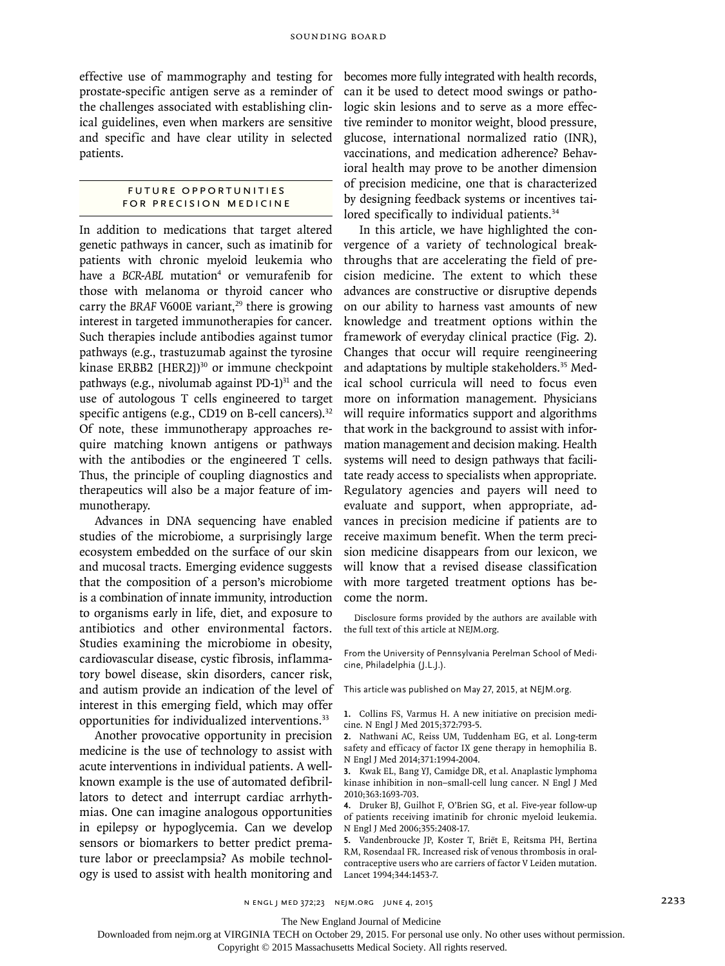effective use of mammography and testing for prostate-specific antigen serve as a reminder of the challenges associated with establishing clinical guidelines, even when markers are sensitive and specific and have clear utility in selected patients.

## Future Opportunities for Precision Medicine

In addition to medications that target altered genetic pathways in cancer, such as imatinib for patients with chronic myeloid leukemia who have a BCR-ABL mutation<sup>4</sup> or vemurafenib for those with melanoma or thyroid cancer who carry the *BRAF* V600E variant,<sup>29</sup> there is growing interest in targeted immunotherapies for cancer. Such therapies include antibodies against tumor pathways (e.g., trastuzumab against the tyrosine kinase ERBB2 [HER2])<sup>30</sup> or immune checkpoint pathways (e.g., nivolumab against  $PD-1$ )<sup>31</sup> and the use of autologous T cells engineered to target specific antigens (e.g., CD19 on B-cell cancers).<sup>32</sup> Of note, these immunotherapy approaches require matching known antigens or pathways with the antibodies or the engineered T cells. Thus, the principle of coupling diagnostics and therapeutics will also be a major feature of immunotherapy.

Advances in DNA sequencing have enabled studies of the microbiome, a surprisingly large ecosystem embedded on the surface of our skin and mucosal tracts. Emerging evidence suggests that the composition of a person's microbiome is a combination of innate immunity, introduction to organisms early in life, diet, and exposure to antibiotics and other environmental factors. Studies examining the microbiome in obesity, cardiovascular disease, cystic fibrosis, inflammatory bowel disease, skin disorders, cancer risk, and autism provide an indication of the level of interest in this emerging field, which may offer opportunities for individualized interventions.33

Another provocative opportunity in precision medicine is the use of technology to assist with acute interventions in individual patients. A wellknown example is the use of automated defibrillators to detect and interrupt cardiac arrhythmias. One can imagine analogous opportunities in epilepsy or hypoglycemia. Can we develop sensors or biomarkers to better predict premature labor or preeclampsia? As mobile technology is used to assist with health monitoring and becomes more fully integrated with health records, can it be used to detect mood swings or pathologic skin lesions and to serve as a more effective reminder to monitor weight, blood pressure, glucose, international normalized ratio (INR), vaccinations, and medication adherence? Behavioral health may prove to be another dimension of precision medicine, one that is characterized by designing feedback systems or incentives tailored specifically to individual patients.<sup>34</sup>

In this article, we have highlighted the convergence of a variety of technological breakthroughs that are accelerating the field of precision medicine. The extent to which these advances are constructive or disruptive depends on our ability to harness vast amounts of new knowledge and treatment options within the framework of everyday clinical practice (Fig. 2). Changes that occur will require reengineering and adaptations by multiple stakeholders.<sup>35</sup> Medical school curricula will need to focus even more on information management. Physicians will require informatics support and algorithms that work in the background to assist with information management and decision making. Health systems will need to design pathways that facilitate ready access to specialists when appropriate. Regulatory agencies and payers will need to evaluate and support, when appropriate, advances in precision medicine if patients are to receive maximum benefit. When the term precision medicine disappears from our lexicon, we will know that a revised disease classification with more targeted treatment options has become the norm.

Disclosure forms provided by the authors are available with the full text of this article at NEJM.org.

From the University of Pennsylvania Perelman School of Medicine, Philadelphia (J.L.J.).

This article was published on May 27, 2015, at NEJM.org.

**1.** Collins FS, Varmus H. A new initiative on precision medicine. N Engl J Med 2015;372:793-5.

**2.** Nathwani AC, Reiss UM, Tuddenham EG, et al. Long-term safety and efficacy of factor IX gene therapy in hemophilia B. N Engl J Med 2014;371:1994-2004.

**3.** Kwak EL, Bang YJ, Camidge DR, et al. Anaplastic lymphoma kinase inhibition in non–small-cell lung cancer. N Engl J Med 2010;363:1693-703.

**4.** Druker BJ, Guilhot F, O'Brien SG, et al. Five-year follow-up of patients receiving imatinib for chronic myeloid leukemia. N Engl J Med 2006;355:2408-17.

**5.** Vandenbroucke JP, Koster T, Briët E, Reitsma PH, Bertina RM, Rosendaal FR. Increased risk of venous thrombosis in oralcontraceptive users who are carriers of factor V Leiden mutation. Lancet 1994;344:1453-7.

n engl j med 372;23 nejm.org june 4, 2015 2233

The New England Journal of Medicine

Downloaded from nejm.org at VIRGINIA TECH on October 29, 2015. For personal use only. No other uses without permission.